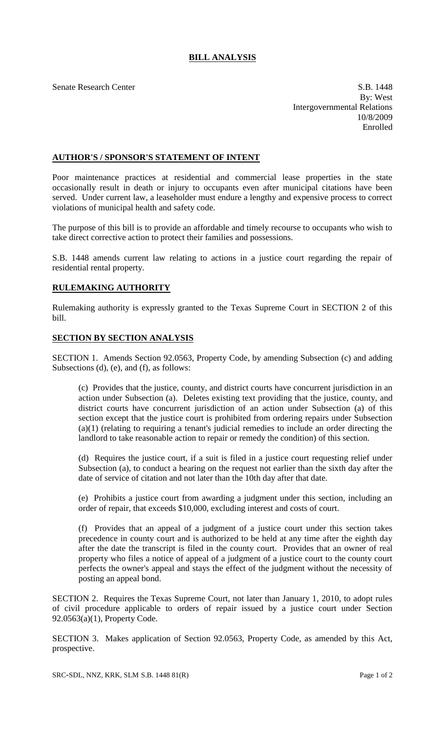## **BILL ANALYSIS**

Senate Research Center S.B. 1448 By: West Intergovernmental Relations 10/8/2009 Enrolled

## **AUTHOR'S / SPONSOR'S STATEMENT OF INTENT**

Poor maintenance practices at residential and commercial lease properties in the state occasionally result in death or injury to occupants even after municipal citations have been served. Under current law, a leaseholder must endure a lengthy and expensive process to correct violations of municipal health and safety code.

The purpose of this bill is to provide an affordable and timely recourse to occupants who wish to take direct corrective action to protect their families and possessions.

S.B. 1448 amends current law relating to actions in a justice court regarding the repair of residential rental property.

## **RULEMAKING AUTHORITY**

Rulemaking authority is expressly granted to the Texas Supreme Court in SECTION 2 of this bill.

## **SECTION BY SECTION ANALYSIS**

SECTION 1. Amends Section 92.0563, Property Code, by amending Subsection (c) and adding Subsections (d), (e), and (f), as follows:

(c) Provides that the justice, county, and district courts have concurrent jurisdiction in an action under Subsection (a). Deletes existing text providing that the justice, county, and district courts have concurrent jurisdiction of an action under Subsection (a) of this section except that the justice court is prohibited from ordering repairs under Subsection (a)(1) (relating to requiring a tenant's judicial remedies to include an order directing the landlord to take reasonable action to repair or remedy the condition) of this section.

(d) Requires the justice court, if a suit is filed in a justice court requesting relief under Subsection (a), to conduct a hearing on the request not earlier than the sixth day after the date of service of citation and not later than the 10th day after that date.

(e) Prohibits a justice court from awarding a judgment under this section, including an order of repair, that exceeds \$10,000, excluding interest and costs of court.

(f) Provides that an appeal of a judgment of a justice court under this section takes precedence in county court and is authorized to be held at any time after the eighth day after the date the transcript is filed in the county court. Provides that an owner of real property who files a notice of appeal of a judgment of a justice court to the county court perfects the owner's appeal and stays the effect of the judgment without the necessity of posting an appeal bond.

SECTION 2. Requires the Texas Supreme Court, not later than January 1, 2010, to adopt rules of civil procedure applicable to orders of repair issued by a justice court under Section 92.0563(a)(1), Property Code.

SECTION 3. Makes application of Section 92.0563, Property Code, as amended by this Act, prospective.